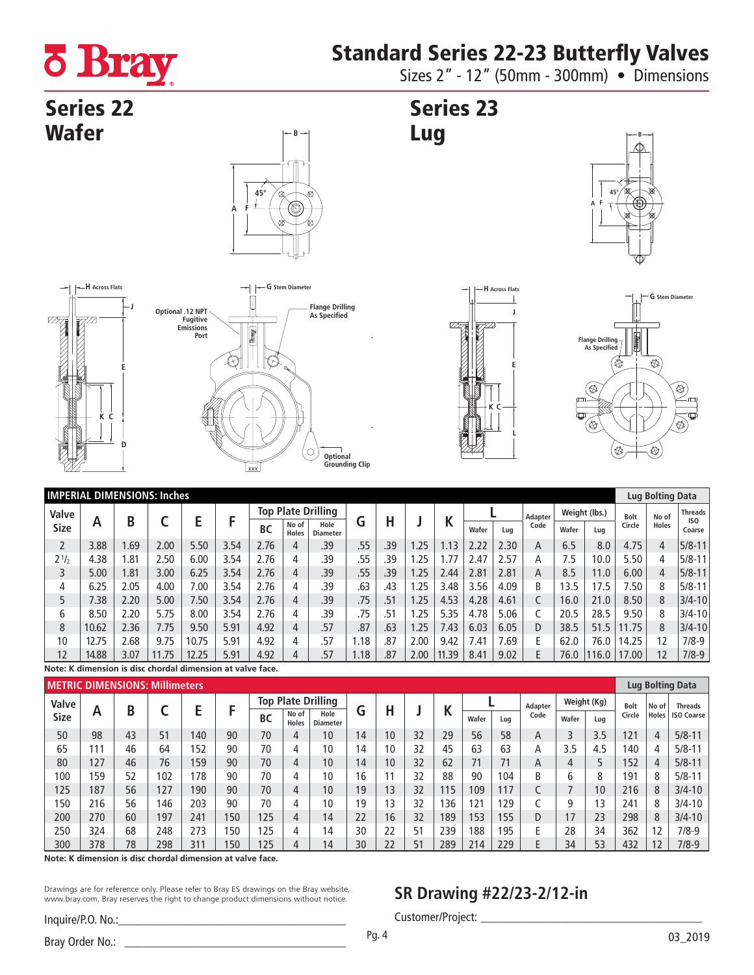# Standard Series 22-23 Butterfly Valves

**ö Bray** 

Sizes 2" - 12" (50mm - 300mm) • Dimensions

## **Series 22 Wafer**





### Series 23 Lug







|             | <b>IMPERIAL DIMENSIONS: Inches</b> |      |      |       |      |           |                           |                         |      |     |      |        |       |      |                |               | Lug Bolting Data |             |              |                           |
|-------------|------------------------------------|------|------|-------|------|-----------|---------------------------|-------------------------|------|-----|------|--------|-------|------|----------------|---------------|------------------|-------------|--------------|---------------------------|
| Valve       |                                    |      |      |       |      |           | <b>Top Plate Drilling</b> |                         |      |     |      |        |       |      | <b>Adapter</b> | Weight (lbs.) |                  | <b>Bolt</b> | No of        | <b>Threads</b>            |
| <b>Size</b> | А                                  | B    |      |       |      | <b>BC</b> | No of<br><b>Holes</b>     | Hole<br><b>Diameter</b> | G    | Н   |      | N      | Wafer | Lug  | Code           | Wafer         | Lua              | Circle      | <b>Holes</b> | IS <sub>0</sub><br>Coarse |
|             | 3.88                               | .69  | 2.00 | 5.50  | 3.54 | 2.76      | 4                         | .39                     | .55  | .39 | 1.25 | 1.13   | 2.22  | 2.30 | A              | 6.5           | 8.0              | 4.75        | 4            | $5/8 - 11$                |
| $2^{1/2}$   | 4.38                               | .81  | 2.50 | 6.00  | 3.54 | 2.76      | 4                         | .39                     | .55  | .39 | .25  | . . 77 | 2.47  | 2.57 | Α              | 7.5           | 10.0             | 5.50        | 4            | $5/8 - 11$                |
|             | 5.00                               | .81  | 3.00 | 6.25  | 3.54 | 2.76      | 4                         | .39                     | .55  | .39 | .25  | 2.44   | 2.81  | 2.81 | Α              | 8.5           | 11.0             | 6.00        | 4            | $5/8 - 11$                |
| 4           | 6.25                               | 2.05 | 4.00 | 0.00  | 3.54 | 2.76      | 4                         | .39                     | .63  | .43 | .25  | .48    | 3.56  | 4.09 | B              | 13.5          | 17.5             | 7.50        | 8            | $5/8 - 11$                |
|             | 7.38                               | 2.20 | 5.00 | 7.50  | 3.54 | 2.76      | 4                         | .39                     | .75  | .51 | 1.25 | 4.53   | 4.28  | 4.61 |                | 16.0          | 21.0             | 8.50        | 8            | $3/4 - 10$                |
| 6           | 8.50                               | 2.20 | 5.75 | 8.00  | 3.54 | 2.76      | 4                         | .39                     | .75  | .51 | 1.25 | 5.35   | 4.78  | 5.06 |                | 20.5          | 28.5             | 9.50        | 8            | $3/4 - 10$                |
| 8           | 10.62                              | 2.36 | 7.75 | 9.50  | 5.91 | 4.92      | 4                         | .57                     | .87  | .63 | 1.25 | 7.43   | 6.03  | 6.05 | D              | 38.5          | 51.5             | 11.75       | 8            | $3/4 - 10$                |
| 10          | 12.75                              | 2.68 | 9.75 | 10.75 | 5.91 | 4.92      | 4                         | .57                     | 1.18 | .87 | 2.00 | 9.42   | 7.41  | 7.69 | F              | 62.0          | 76.0             | 14.25       | 12           | $7/8-9$                   |
| 12          | 14.88                              | 3.07 | .75  | 12.25 | 5.91 | 4.92      | 4                         | .57                     | 1.18 | .87 | 2.00 | 11.39  | 8.41  | 9.02 | E              | 76.0          | 16.0             | 17.00       | 12           | $7/8-9$                   |

**Note: K dimension is disc chordal dimension at valve face.**

|             | <b>METRIC DIMENSIONS: Millimeters</b> |    |     |     |     |           |                           |                         |    |                 |    |     |       |     |         |             | Lug Bolting Data |             |       |                   |
|-------------|---------------------------------------|----|-----|-----|-----|-----------|---------------------------|-------------------------|----|-----------------|----|-----|-------|-----|---------|-------------|------------------|-------------|-------|-------------------|
| Valve       |                                       |    |     |     |     |           | <b>Top Plate Drilling</b> |                         |    |                 |    |     |       |     | Adapter | Weight (Kg) |                  | <b>Bolt</b> | No of | <b>Threads</b>    |
| <b>Size</b> | А                                     | B  |     |     |     | <b>BC</b> | No of<br><b>Holes</b>     | Hole<br><b>Diameter</b> | G  | n               |    |     | Wafer | Luq | Code    | Wafer       | Lua              | Circle      | Holes | <b>ISO Coarse</b> |
| 50          | 98                                    | 43 | 51  | 140 | 90  | 70        | 4                         | 10                      | 14 | 10 <sup>°</sup> | 32 | 29  | 56    | 58  | A       |             | 3.5              | 121         | 4     | $5/8 - 11$        |
| 65          | 111                                   | 46 | 64  | 152 | 90  | 70        | 4                         | 10                      | 14 | 10              | 32 | 45  | 63    | 63  | А       | 3.5         | 4.5              | 140         |       | $5/8 - 11$        |
| 80          | 127                                   | 46 | 76  | 159 | 90  | 70        | 4                         | 10                      | 14 | 10              | 32 | 62  | 71    | 71  | Α       | 4           |                  | 152         | 4     | $5/8 - 11$        |
| 100         | 159                                   | 52 | 102 | 178 | 90  | 70        | 4                         | 10                      | 16 |                 | 32 | 88  | 90    | 104 | B       | 6           | 8                | 191         | 8     | $5/8 - 11$        |
| 125         | 187                                   | 56 | 127 | 190 | 90  | 70        | 4                         | 10                      | 19 | 13              | 32 | 115 | 109   | 117 |         |             | 10               | 216         | 8     | $3/4 - 10$        |
| 150         | 216                                   | 56 | 46  | 203 | 90  | 70        | 4                         | 10                      | 19 | $\overline{3}$  | 32 | 136 | 121   | 129 |         | 9           | 13               | 241         | 8     | $3/4 - 10$        |
| 200         | 270                                   | 60 | 197 | 241 | 150 | 125       | 4                         | 14                      | 22 | 16              | 32 | 189 | 153   | 155 | D       | 17          | 23               | 298         | 8     | $3/4 - 10$        |
| 250         | 324                                   | 68 | 248 | 273 | 150 | 25        | 4                         | 14                      | 30 | 22              | 51 | 239 | 188   | 195 |         | 28          | 34               | 362         | 12    | 7/8-9             |
| 300         | 378                                   | 78 | 298 | 311 | 150 | 125       | 4                         | 14                      | 30 | 22              | 51 | 289 | 214   | 229 |         | 34          | 53               | 432         | 12    | $7/8-9$           |

**Note: K dimension is disc chordal dimension at valve face.**

Drawings are for reference only. Please refer to Bray ES drawings on the Bray website, www.bray.com. Bray reserves the right to change product dimensions without notice.

### **SR Drawing #22/23-2/12-in**

Customer/Project:

Inquire/P.O. No.: Bray Order No.: \_\_\_\_\_\_\_\_\_\_\_\_\_\_\_\_\_\_\_\_\_\_\_\_\_\_\_\_\_\_\_\_\_\_\_\_ 03\_2019